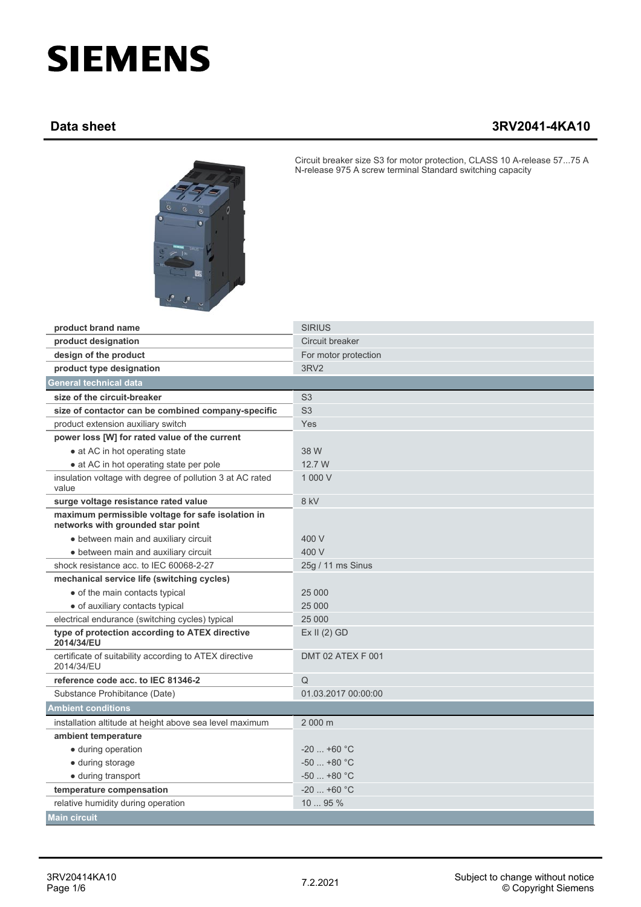## **SIEMENS**

## **Data sheet 3RV2041-4KA10**



Circuit breaker size S3 for motor protection, CLASS 10 A-release 57...75 A N-release 975 A screw terminal Standard switching capacity

| <b>SIRIUS</b><br>product brand name<br>product designation<br>Circuit breaker<br>For motor protection<br>design of the product<br>product type designation<br>3RV <sub>2</sub><br><b>General technical data</b><br>size of the circuit-breaker<br>S <sub>3</sub><br>S <sub>3</sub><br>size of contactor can be combined company-specific<br>Yes<br>product extension auxiliary switch |  |
|---------------------------------------------------------------------------------------------------------------------------------------------------------------------------------------------------------------------------------------------------------------------------------------------------------------------------------------------------------------------------------------|--|
|                                                                                                                                                                                                                                                                                                                                                                                       |  |
|                                                                                                                                                                                                                                                                                                                                                                                       |  |
|                                                                                                                                                                                                                                                                                                                                                                                       |  |
|                                                                                                                                                                                                                                                                                                                                                                                       |  |
|                                                                                                                                                                                                                                                                                                                                                                                       |  |
|                                                                                                                                                                                                                                                                                                                                                                                       |  |
|                                                                                                                                                                                                                                                                                                                                                                                       |  |
|                                                                                                                                                                                                                                                                                                                                                                                       |  |
| power loss [W] for rated value of the current                                                                                                                                                                                                                                                                                                                                         |  |
| • at AC in hot operating state<br>38 W                                                                                                                                                                                                                                                                                                                                                |  |
| • at AC in hot operating state per pole<br>12.7 W                                                                                                                                                                                                                                                                                                                                     |  |
| insulation voltage with degree of pollution 3 at AC rated<br>1 000 V<br>value                                                                                                                                                                                                                                                                                                         |  |
| 8 kV<br>surge voltage resistance rated value                                                                                                                                                                                                                                                                                                                                          |  |
| maximum permissible voltage for safe isolation in<br>networks with grounded star point                                                                                                                                                                                                                                                                                                |  |
| 400 V<br>· between main and auxiliary circuit                                                                                                                                                                                                                                                                                                                                         |  |
| 400 V<br>• between main and auxiliary circuit                                                                                                                                                                                                                                                                                                                                         |  |
| shock resistance acc. to IEC 60068-2-27<br>25g / 11 ms Sinus                                                                                                                                                                                                                                                                                                                          |  |
| mechanical service life (switching cycles)                                                                                                                                                                                                                                                                                                                                            |  |
| • of the main contacts typical<br>25 000                                                                                                                                                                                                                                                                                                                                              |  |
| 25 000<br>• of auxiliary contacts typical                                                                                                                                                                                                                                                                                                                                             |  |
| electrical endurance (switching cycles) typical<br>25 000                                                                                                                                                                                                                                                                                                                             |  |
| type of protection according to ATEX directive<br>Ex II(2) GD<br>2014/34/EU                                                                                                                                                                                                                                                                                                           |  |
| certificate of suitability according to ATEX directive<br>DMT 02 ATEX F 001<br>2014/34/EU                                                                                                                                                                                                                                                                                             |  |
| reference code acc. to IEC 81346-2<br>$\Omega$                                                                                                                                                                                                                                                                                                                                        |  |
| Substance Prohibitance (Date)<br>01.03.2017 00:00:00                                                                                                                                                                                                                                                                                                                                  |  |
| <b>Ambient conditions</b>                                                                                                                                                                                                                                                                                                                                                             |  |
| installation altitude at height above sea level maximum<br>2 000 m                                                                                                                                                                                                                                                                                                                    |  |
| ambient temperature                                                                                                                                                                                                                                                                                                                                                                   |  |
| $-20$ +60 °C<br>• during operation                                                                                                                                                                                                                                                                                                                                                    |  |
| $-50$ $+80$ °C<br>· during storage                                                                                                                                                                                                                                                                                                                                                    |  |
| $-50$ $+80$ °C<br>• during transport                                                                                                                                                                                                                                                                                                                                                  |  |
| $-20$ $+60$ °C<br>temperature compensation                                                                                                                                                                                                                                                                                                                                            |  |
| relative humidity during operation<br>10  95 %                                                                                                                                                                                                                                                                                                                                        |  |
| <b>Main circuit</b>                                                                                                                                                                                                                                                                                                                                                                   |  |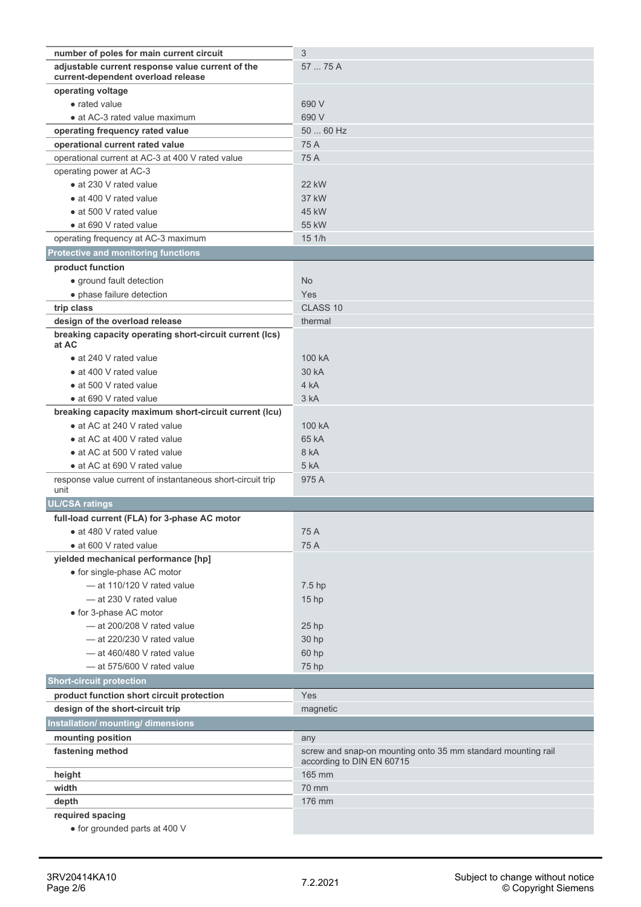| number of poles for main current circuit                                               | 3                                                                                         |
|----------------------------------------------------------------------------------------|-------------------------------------------------------------------------------------------|
| adjustable current response value current of the<br>current-dependent overload release | 57  75 A                                                                                  |
| operating voltage                                                                      |                                                                                           |
| • rated value                                                                          | 690 V                                                                                     |
| • at AC-3 rated value maximum                                                          | 690 V                                                                                     |
| operating frequency rated value                                                        | 50  60 Hz                                                                                 |
| operational current rated value                                                        | 75 A                                                                                      |
| operational current at AC-3 at 400 V rated value                                       | 75 A                                                                                      |
| operating power at AC-3                                                                |                                                                                           |
| • at 230 V rated value                                                                 | 22 kW                                                                                     |
| • at 400 V rated value                                                                 | 37 kW                                                                                     |
| • at 500 V rated value                                                                 | 45 kW                                                                                     |
| • at 690 V rated value                                                                 | 55 kW                                                                                     |
| operating frequency at AC-3 maximum                                                    | 151/h                                                                                     |
| <b>Protective and monitoring functions</b>                                             |                                                                                           |
| product function                                                                       |                                                                                           |
|                                                                                        | <b>No</b>                                                                                 |
| • ground fault detection                                                               |                                                                                           |
| • phase failure detection                                                              | Yes                                                                                       |
| trip class                                                                             | CLASS <sub>10</sub>                                                                       |
| design of the overload release                                                         | thermal                                                                                   |
| breaking capacity operating short-circuit current (Ics)<br>at AC                       |                                                                                           |
| • at 240 V rated value                                                                 | 100 kA                                                                                    |
| • at 400 V rated value                                                                 | 30 kA                                                                                     |
| • at 500 V rated value                                                                 | 4 kA                                                                                      |
| • at 690 V rated value                                                                 | 3 kA                                                                                      |
| breaking capacity maximum short-circuit current (Icu)                                  |                                                                                           |
| • at AC at 240 V rated value                                                           | 100 kA                                                                                    |
| • at AC at 400 V rated value                                                           | 65 kA                                                                                     |
| • at AC at 500 V rated value                                                           | 8 kA                                                                                      |
| • at AC at 690 V rated value                                                           | 5 kA                                                                                      |
| response value current of instantaneous short-circuit trip                             | 975 A                                                                                     |
| unit                                                                                   |                                                                                           |
| <b>UL/CSA ratings</b>                                                                  |                                                                                           |
| full-load current (FLA) for 3-phase AC motor                                           |                                                                                           |
| · at 480 V rated value                                                                 | 75 A                                                                                      |
| • at 600 V rated value                                                                 | 75 A                                                                                      |
| yielded mechanical performance [hp]                                                    |                                                                                           |
| • for single-phase AC motor                                                            |                                                                                           |
| - at 110/120 V rated value                                                             | 7.5 hp                                                                                    |
| -at 230 V rated value                                                                  | 15 <sub>hp</sub>                                                                          |
| • for 3-phase AC motor                                                                 |                                                                                           |
| - at 200/208 V rated value                                                             | 25 hp                                                                                     |
| -at 220/230 V rated value                                                              | 30 hp                                                                                     |
| -at 460/480 V rated value                                                              | 60 hp                                                                                     |
| -at 575/600 V rated value                                                              | 75 hp                                                                                     |
|                                                                                        |                                                                                           |
| <b>Short-circuit protection</b>                                                        |                                                                                           |
| product function short circuit protection                                              | Yes                                                                                       |
| design of the short-circuit trip                                                       | magnetic                                                                                  |
| Installation/ mounting/ dimensions                                                     |                                                                                           |
| mounting position                                                                      | any                                                                                       |
| fastening method                                                                       | screw and snap-on mounting onto 35 mm standard mounting rail<br>according to DIN EN 60715 |
| height                                                                                 | 165 mm                                                                                    |
| width                                                                                  | 70 mm                                                                                     |
| depth                                                                                  | 176 mm                                                                                    |
| required spacing                                                                       |                                                                                           |
| • for grounded parts at 400 V                                                          |                                                                                           |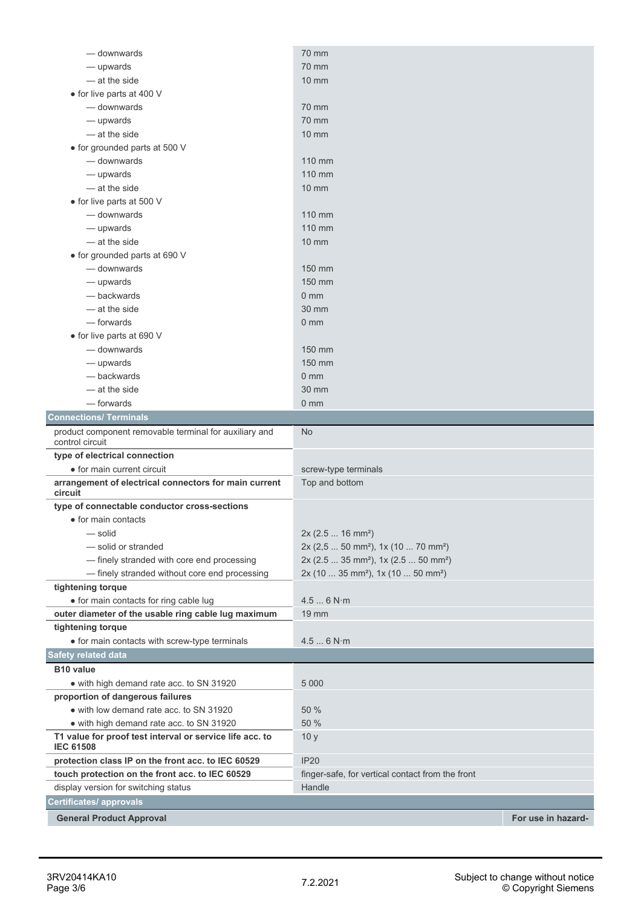| — downwards                                                               | 70 mm                                                        |                    |
|---------------------------------------------------------------------------|--------------------------------------------------------------|--------------------|
| — upwards                                                                 | 70 mm                                                        |                    |
| - at the side                                                             | 10 mm                                                        |                    |
| • for live parts at 400 V                                                 |                                                              |                    |
| — downwards                                                               | 70 mm                                                        |                    |
| — upwards                                                                 | 70 mm                                                        |                    |
| - at the side                                                             | 10 mm                                                        |                    |
| • for grounded parts at 500 V                                             |                                                              |                    |
| — downwards                                                               | 110 mm                                                       |                    |
| — upwards                                                                 | 110 mm                                                       |                    |
| — at the side                                                             | $10 \text{ mm}$                                              |                    |
|                                                                           |                                                              |                    |
| · for live parts at 500 V                                                 |                                                              |                    |
| — downwards                                                               | 110 mm                                                       |                    |
| — upwards                                                                 | 110 mm                                                       |                    |
| - at the side                                                             | 10 mm                                                        |                    |
| • for grounded parts at 690 V                                             |                                                              |                    |
| — downwards                                                               | 150 mm                                                       |                    |
| — upwards                                                                 | 150 mm                                                       |                    |
| - backwards                                                               | $0 \text{ mm}$                                               |                    |
| — at the side                                                             | 30 mm                                                        |                    |
| — forwards                                                                | $0 \text{ mm}$                                               |                    |
| • for live parts at 690 V                                                 |                                                              |                    |
| — downwards                                                               | 150 mm                                                       |                    |
| — upwards                                                                 | 150 mm                                                       |                    |
| — backwards                                                               | $0 \text{ mm}$                                               |                    |
| — at the side                                                             | 30 mm                                                        |                    |
| - forwards                                                                | 0 <sub>mm</sub>                                              |                    |
| <b>Connections/ Terminals</b>                                             |                                                              |                    |
| product component removable terminal for auxiliary and<br>control circuit | <b>No</b>                                                    |                    |
| type of electrical connection                                             |                                                              |                    |
| • for main current circuit                                                | screw-type terminals                                         |                    |
| arrangement of electrical connectors for main current<br>circuit          | Top and bottom                                               |                    |
| type of connectable conductor cross-sections                              |                                                              |                    |
| • for main contacts                                                       |                                                              |                    |
| $-$ solid                                                                 | 2x (2.5  16 mm <sup>2</sup> )                                |                    |
| - solid or stranded                                                       | 2x (2,5  50 mm <sup>2</sup> ), 1x (10  70 mm <sup>2</sup> )  |                    |
| - finely stranded with core end processing                                | 2x (2.5  35 mm <sup>2</sup> ), 1x (2.5  50 mm <sup>2</sup> ) |                    |
| - finely stranded without core end processing                             | 2x (10  35 mm <sup>2</sup> ), 1x (10  50 mm <sup>2</sup> )   |                    |
| tightening torque                                                         |                                                              |                    |
| · for main contacts for ring cable lug                                    | 4.56N·m                                                      |                    |
| outer diameter of the usable ring cable lug maximum                       | 19 mm                                                        |                    |
| tightening torque                                                         |                                                              |                    |
| • for main contacts with screw-type terminals                             | 4.56 N·m                                                     |                    |
| Safety related data                                                       |                                                              |                    |
| B10 value                                                                 |                                                              |                    |
| • with high demand rate acc. to SN 31920                                  | 5 0 0 0                                                      |                    |
| proportion of dangerous failures                                          |                                                              |                    |
| • with low demand rate acc. to SN 31920                                   | 50 %                                                         |                    |
| • with high demand rate acc. to SN 31920                                  | 50 %                                                         |                    |
| T1 value for proof test interval or service life acc. to                  | 10y                                                          |                    |
| <b>IEC 61508</b>                                                          |                                                              |                    |
| protection class IP on the front acc. to IEC 60529                        | <b>IP20</b>                                                  |                    |
| touch protection on the front acc. to IEC 60529                           | finger-safe, for vertical contact from the front             |                    |
| display version for switching status                                      | Handle                                                       |                    |
| <b>Certificates/ approvals</b>                                            |                                                              |                    |
| <b>General Product Approval</b>                                           |                                                              | For use in hazard- |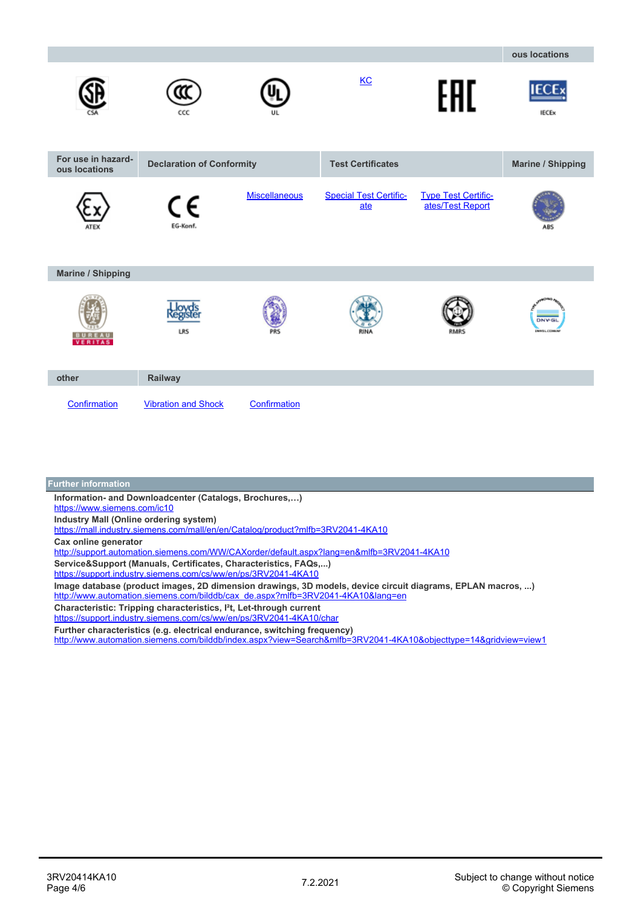|                                     |                                  |                      |                                      |                                                | ous locations                        |
|-------------------------------------|----------------------------------|----------------------|--------------------------------------|------------------------------------------------|--------------------------------------|
|                                     | ccc                              |                      | KC                                   |                                                | <b>IECEx</b>                         |
| For use in hazard-<br>ous locations | <b>Declaration of Conformity</b> |                      | <b>Test Certificates</b>             |                                                | <b>Marine / Shipping</b>             |
| <b>ATEX</b>                         | CE<br>EG-Konf.                   | <b>Miscellaneous</b> | <b>Special Test Certific-</b><br>ate | <b>Type Test Certific-</b><br>ates/Test Report | ABS                                  |
| <b>Marine / Shipping</b>            |                                  |                      |                                      |                                                |                                      |
| <b>VERITAS</b>                      | <b>LRS</b>                       | PRS                  | RINA                                 | <b>RMRS</b>                                    | <b>DNV-GI</b><br><b>DMVSL.CONKOW</b> |
| other                               | Railway                          |                      |                                      |                                                |                                      |
| Confirmation                        | <b>Vibration and Shock</b>       | Confirmation         |                                      |                                                |                                      |

| <b>Further information</b>                                                                                                                                                                |
|-------------------------------------------------------------------------------------------------------------------------------------------------------------------------------------------|
| Information- and Downloadcenter (Catalogs, Brochures)                                                                                                                                     |
| https://www.siemens.com/ic10                                                                                                                                                              |
| Industry Mall (Online ordering system)                                                                                                                                                    |
| https://mall.industry.siemens.com/mall/en/en/Catalog/product?mlfb=3RV2041-4KA10                                                                                                           |
| Cax online generator                                                                                                                                                                      |
| http://support.automation.siemens.com/WW/CAXorder/default.aspx?lang=en&mlfb=3RV2041-4KA10                                                                                                 |
| Service&Support (Manuals, Certificates, Characteristics, FAQs,)                                                                                                                           |
| https://support.industry.siemens.com/cs/ww/en/ps/3RV2041-4KA10                                                                                                                            |
| Image database (product images, 2D dimension drawings, 3D models, device circuit diagrams, EPLAN macros, )<br>http://www.automation.siemens.com/bilddb/cax_de.aspx?mlfb=3RV2041-4KA10⟨=en |
| Characteristic: Tripping characteristics, <sup>2</sup> t, Let-through current                                                                                                             |
| https://support.industry.siemens.com/cs/ww/en/ps/3RV2041-4KA10/char                                                                                                                       |
| Further characteristics (e.g. electrical endurance, switching frequency)                                                                                                                  |
| http://www.automation.siemens.com/bilddb/index.aspx?view=Search&mlfb=3RV2041-4KA10&objecttype=14&qridview=view1                                                                           |
|                                                                                                                                                                                           |
|                                                                                                                                                                                           |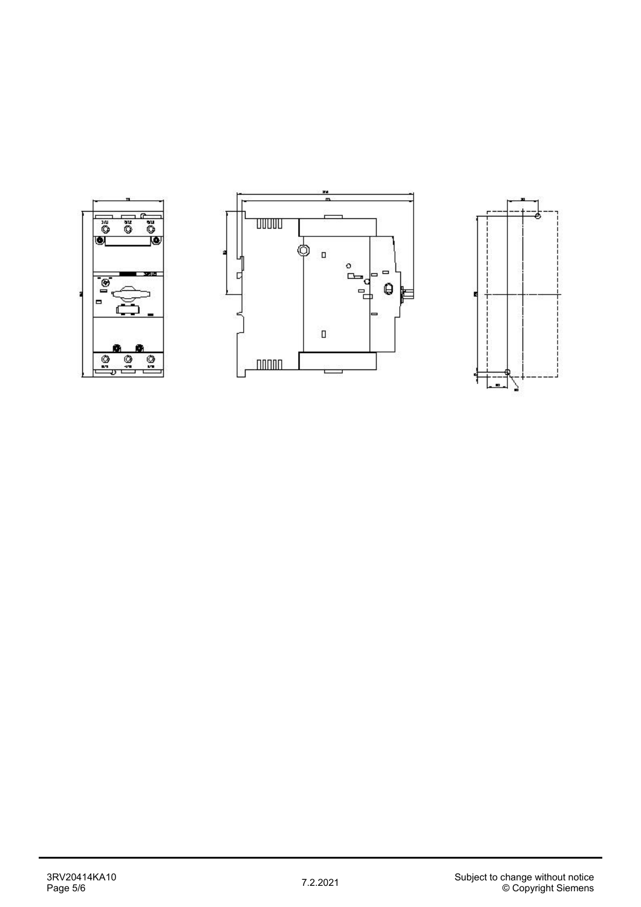